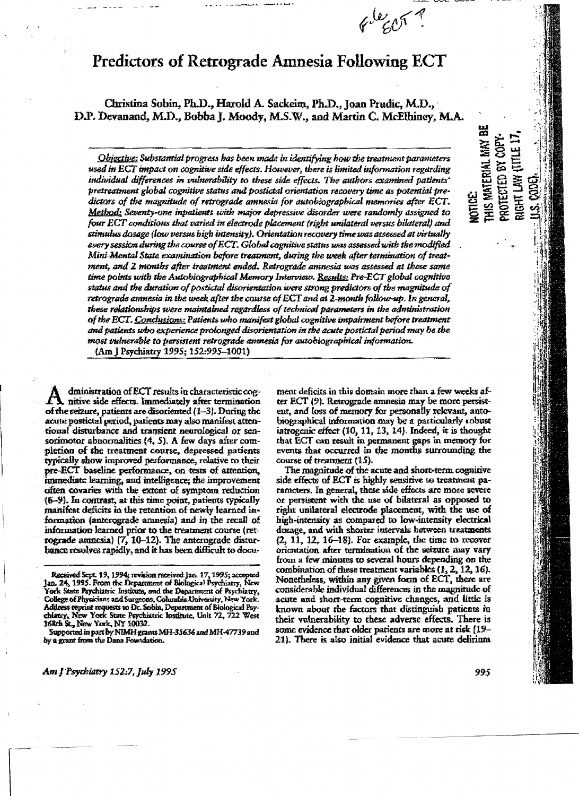# **Predictors of Retrograde Amnesia Following ECT**

Christina Sobin, Ph.D., Harold A. Sackeim, Ph.D., Joan Prudic, M.D., D.P. Devanand, M.D., Bobba J. Moody, M.S.W., and Martin C. McElbiney, M.A.

Objective: Substantial progress has been made in identifying how the treatment parameters used in ECT impact on cognitive side effects. However, there is limited information regarding individual differences in vulnerability to these side effects. The authors examined patients' pretreatment global cognitive status and postictal orientation recovery time as potential tredictors of the magnitude of retrograde amnesia for autobiographical memories after ECT. Method: Seventy-one inpatients with major depressive disorder were randomly assigned to four ECT conditions that varied in electrode placement (right unilateral versus bilateral) and stimulus dosage (low versus high intensity). Orientation recovery time was assessed at virtually every session during the course of ECT. Global cognitive status was assessed with the modified Mini-Mental State examination before treatment, during the week after termination of treatment, and 2 months after treatment ended. Retrograde amnesia was assessed at these same time points with the Autobiographical Memory Interview. Results: Pre-ECT global cognitive status and the duration of postictal disorientation were strong predictors of the magnitude of retrograde amnesia in the week after the course of ECT and at 2-month follow-up. In general, these relationships were maintained regardless of technical parameters in the administration of the ECT. Conclusions: Patients who manifest global cognitive impairment before treatment and patients who experience prolonged disorientation in the acute postictal period may be the most vulnerable to persistent retrograde annesia for autobiographical information.

(Am I Psychiatry 1995: 152:995-1001)

dministration of ECT results in characteristic cognitive side effects. Immediately after termination of the seizure, patients are disoriented (1-3). During the acute postictal period, patients may also manifest attentional disturbance and transient neurological or sensorimotor abnormalities (4, 5). A few days after completion of the treatment course, depressed patients typically show improved performance, relative to their pre-ECT baseline performance, on tests of attention, immediate learning, and intelligence; the improvement often covaries with the extent of symptom reduction (6-9). In contrast, at this time point, patients typically manifest deficits in the retention of newly learned information (anterograde amnesia) and in the recall of information learned prior to the treatment course (retrograde amnesia)  $(7, 10-12)$ . The anterograde disturbance resolves rapidly, and it has been difficult to document deficits in this domain more than a few weeks after ECT (9). Retrograde amnesia may be more persistent, and loss of memory for personally relevant, autobiographical information may be a particularly robust iatrogenic effect (10, 11, 13, 14). Indeed, it is thought that ECT can result in permanent gaps in memory for events that occurred in the months surrounding the course of treatment (15).

 $\not\in\mathbb{C}^{\text{L}}\times\mathbb{C}^{\text{L}}$ 

The magnitude of the acute and short-term cognitive side effects of ECT is highly sensitive to treatment parameters. In general, these side effects are more severe or persistent with the use of bilateral as opposed to right unilateral electrode placement, with the use of high-intensity as compared to low-intensity electrical dosage, and with shorter intervals between treatments  $(2, 11, 12, 16-18)$ . For example, the time to recover orientation after termination of the seizure may vary from a few minutes to several hours depending on the combination of these treatment variables  $(1, 2, 12, 16)$ . Nonetheless, within any given form of ECT, there are considerable individual differences in the magnitude of acute and short-term cognitive changes, and little is known about the factors that distinguish patients in their vulnerability to these adverse effects. There is some evidence that older patients are more at risk (19-21). There is also initial evidence that acute delirium

THIS MATERIAL MAY BE

NOTICE:

RIGHT LAW (TITLE 17 PROTECTED BY COPY

LS. CODE).

Received Sept. 19, 1994; revision received Jan. 17, 1995; accepted Jan. 24, 1995. From the Department of Biological Psychiatry, New York State Psychiatric Institute, and the Department of Psychiatry, College of Physicians and Surgeons, Columbia University, New York.<br>Address reprint requests to Dr. Sobin, Department of Biological Psychiatry, New York State Psychiatric Institute, Unit 72, 722 West 168th St., New York, NY 10032.

Supported in part by NIMH grants MH-35636 and MH-47739 and by a grant from the Dana Foundation.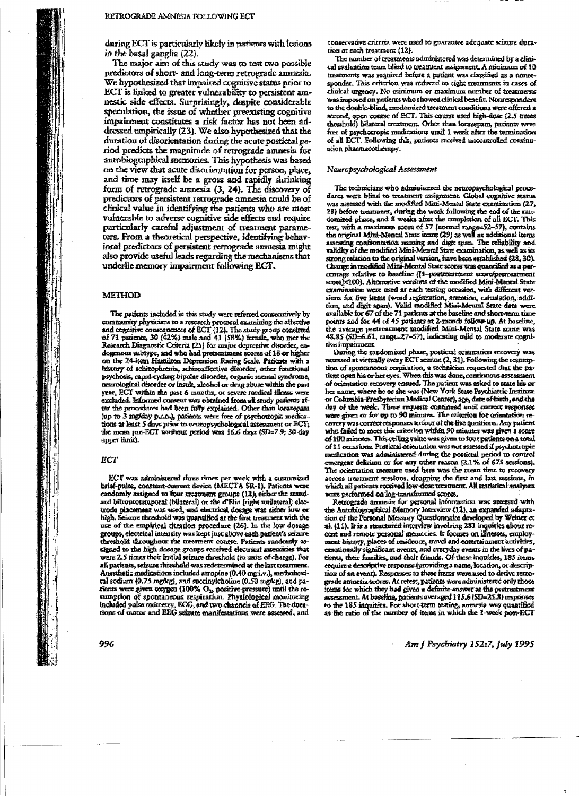during ECT is particularly likely in patients with lesions in the basal ganglia (22).

The major aim of this study was to test two possible predictors of short- and long-term retrograde amnesia. We hypothesized that impaired cognitive status prior to ECT is linked to greater vulnerability to persistent amnestic side effects. Surprisingly, despite considerable speculation, the issue of whether preexisting cognitive impairment constitutes a risk factor has not been addressed empirically (23). We also hypothesized that the duration of disorientation during the acute postictal period predicts the magnitude of retrograde amnesia for autobiographical memories. This hypothesis was based on the view that acute disorientation for person, place, and time may itself be a gross and rapidly shrinking form of retrograde amnesia (3, 24). The discovery of predictors of persistent retrograde amnesia could be of clinical value in identifying the patients who are most vulnerable to adverse cognitive side effects and require particularly careful adjustment of treatment parameters. From a theoretical perspective, identifying behavioral predictors of persistent retrograde amnesia might also provide useful leads regarding the mechanisms that underlie memory impairment following ECT.

#### **METHOD**

The patients included in this study were referred consecutively by community physicians to a research protocol examining the affective and cognitive consequences of ECT (12). The study group consisted of 71 patients, 30 (42%) male and 41 (58%) female, who met the Research Diagnostic Criteria (25) for major depressive disorder, endogmous subtype, and who had pretreatment scores of 18 or higher on the 24-item Hamilton Depression Rating Scale. Patients with a history of schizophrenia, schizoaffective disorder, other functional psychosas, rapid-cycling bipolar disorder, organic mental syndrome, neurological disorder or insult, alcohol or drug abuse within the past year, ECT within the past 6 months, or severe medical illness were excluded. Informed consent was obtained from all study patients after the procedures had been fully explained. Other than lorazepam (up to 3 mg/day p.r.n.), patients were free of psychotropic medications at least 5 days prior to neuropsychological assessment or ECT;<br>the mean pre-ECT washout period was 16.6 days (SD=7.9; 30-day upper limit).

#### ECT

ECT was administered three times per week with a customized brief-palse, consumt-current device (MECTA SR-1). Patients were randomly assigned to four treatment groups (12), either the standard bifrontotemporal (bilateral) or the d'Elia (right unilateral) electrode placement was used, and electrical dosage was either low or high. Seizure threshold was quantified at the first treatment with the use of the empirical fitration procedure (26). In the low dosage groups, electrical intensity was kept just above each patient's seizure threshold throughout the treatment course. Patients randomly assigned to the high dosage groups received electrical intensities that were 2.5 times their initial seizure chreshold (in units of charge). For all patients, seizure threshold was redetermined at the last treatment. Anesthetic medications included atropine (0.40 mg i.v.), metholicstral sodium (0.75 mg/kg), and succinylcholine (0.50 mg/kg), and patients were given oxygen (100% O<sub>2</sub>, positive pressure) until the resumption of spontaneous respiration. Physiological monitoring<br>included pulse oximetry, ECG, and two channels of EEG. The durations of motor and EEG scizure manifestations were assessed, and conservative criteria were used to guarantee adequate seizure duration at each treatment (12).

The namber of treatments administered was determined by a clinical evaluation team blind to treatment assignment. A minimum of 10 treatments was required before a patient was classified as a nonresponder. This criterion was reduced to eight treatments in cases of clinical urgency. No minimum or maximum number of treatments was imposed on patients who showed clinical benefit. Nonresponders to the double-blind, randomized treatment conditions were offered a second, open course of ECT. This course used high-dose (2.5 times threshold) bilateral treatment. Other than forazepam, patients were free of psychotropic medications until 1 week after the termination of all ECT. Following this, patients received uncontrolled continuation pharmacotherapy.

#### Neuropsychological Assessment

The technicians who administered the neuropsychological procedures were blind to treatment assignment. Global cognitive status was assessed with the modified Mini-Mental State examination (27, 28) before meannent, during the week following the end of the randomized phase, and 8 weeks after the completion of all ECT. This rest, with a maximum score of 57 (normal range-52-57), contains<br>the original Mini-Mental State items (29) as well as additional items assessing confrontation numing and digit span. The reliability and<br>validity of the modified Mini-Mental State examination, as well as its strong relation to the original version, have been established (28, 30). Change in modified Mini-Mental State scores was quantified as a percentage relative to baseline (1-posttreatment score/prerreatment score x100). Alternative versions of the modified Mini-Mental State examination were used at each testing occasion, with different versions for five items (word registration, attention, calculation, addition, and digit span). Valid modified Mini-Mental State data were available for 67 of the 71 patients at the baseline and short-term time points and for 44 of 45 patients at 2-month follow-up. At baseline, the average pretreatment modified Mini-Mental State score was 48.85 (SD-6.61, range=27-57), indicating mild to moderate cognitive impairment.

During the randomized phase, posticral orientation recovery was assessed at virtually every ECT session (2, 31). Following the resumption of spontaneous respiration, a technician requested that the patient open his or her eyes. When this was done, continuous assessment of orientation recovery ensued. The patient was asked to state his or her name, where he or she was (New York State Psychiatric Institute or Columbia-Presbyterian Medical Center), age, date of birth, and the day of the week. These requests continued until correct responses were given or for up to 90 minutes. The criterion for oxientation recovery was correct responses to four of the five questions. Any patient who failed to meet this criterion within 50 minutes was given a score of 100 minutes. This ceiling value was given to four patients on a total of 11 occasions. Postictal orientation was not assessed if psychotropic medication was administered during the postictal period to control emergent delicion or for any other reason [2.1% of 675 sessions].<br>The orientation measure used here was the mean time to recovery across treatment sessions, dropping the first and last sessions, in which all patients received low-dose treatment. All statistical analyses were performed on log-transformed scores.

Retrograde annesia for personal information was assessed with the Autobiographical Memory Interview (12), an expanded adaptation of the Personal Memory Questionnaire developed by Weiner et al. (11). It is a structured interview involving 281 inquiries about recent and remote personal memories. It focuses on illnesses, employment history, places of residence, travel and entertainment activities, emotionally significant events, and everyday events in the lives of patients, their families, and their friends. Of these inquiries, 185 items require a descriptive response (providing a name, location, or description of an event). Responses to these items were used to derive retrograde amnesia scores. At retest, patients were administered only those frems for which they had given a definite answer at the pretreatment  $\epsilon$ sment. At baseline, patients averaged 115.6 (SD=25.8) responses to the 185 inquiries. For short-term testing, annesia was quantified as the ratio of the number of items in which the 1-week post-ECT

Am J Psychiatry 152:7, July 1995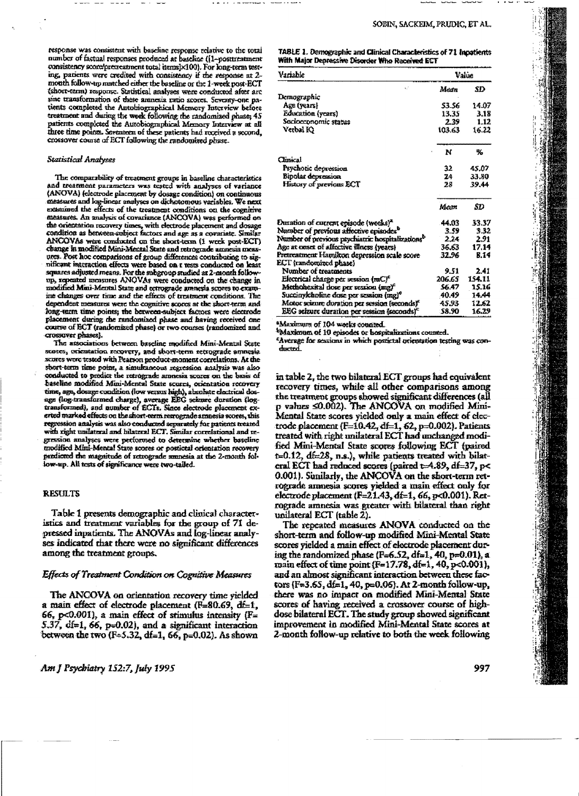response was consistent with baseline response relative to the total number of factual responses produced at baseline (1-posttreatment consistency score/pretreatment total items]×100). For long-term testing, patients were credited with consistency if the response at 2mouth follow-up matched either the baseline or the 1-week post-ECT (short-term) response. Statistical analyses were conducted after arc sine transformation of these annexia ratio scores. Seventy-one patients completed the Antobiographical Memory Interview before treatment and during the week following the randomized phase; 45 patients completed the Autobiographical Memory Interview at all three time points. Seventeen of these patients had received a second, crossover course of ECT following the randomized phase.

#### **Statistical Analyses**

The comparability of treatment groups in baseline characteristics and treatment parameters was tested with analyses of variance (ANOVA) (electrode placement by dosage condition) on continuous measures and log-linear analyses on dichotomous variables. We next examined the effects of the treatment conditions on the cognitive measures. An analysis of covariance (ANCOVA) was performed on the orientation recovery times, with electrode placement and dosage condition as between subject factors and age as a covariate. Similar ANCOVAs were conducted on the short-term (1 week post-ECT) change in modified Mini-Mental State and retrograde amnesia measures. Post hoc comparisons of group differences contributing to significant interaction effects were based on r rests conducted on least squares adjusted means. For the subgroup studied at 2-month followup, repeated measures ANOVAs were conducted on the change in modified Mini-Mental State and retrograde amnesia scores to examine changes over time and the effects of treatment conditions. The dependent measures were the cognitive scores at the short-term and long-term time points; the between-subject factors were electrode placement during the randomized phase and having received one course of ECT (randomized phase) or two courses (randomized and crossover phases).

The associations between baseline modified Mini-Mental State stores, orientation recovery, and short-term retrograde amnesia scores were tested with Pearson product-moment correlations. At the short-texm time point, a simultaneous regression analysis was also conducted to predict the retrograde amnesia scores on the basis of baseline modified Mini-Mental State scores, orientation recovery time, age, dosage condition (low versus high), absolute electrical dosage (log-transformed charge), average EEG seizure duration (logtransformed), and number of ECTs. Since electrode placement exerted marked effects on the short-term retrograde annesia scores, this regression analysis was also conducted separately for patients treated with right unilateral and hilateral ECT. Similar correlational and regression analyses were performed to determine whether baseline modified Mini-Mental State scores or postictal orientation recovery predicted the magnitude of retrograde amnesia at the 2-month follow-up. All tests of significance were two-tailed.

## **RESULTS**

Table 1 presents demographic and clinical characteristics and treatment variables for the group of 71 depressed inpatients. The ANOVAs and log-linear analyses indicated that there were no significant differences among the treatment groups.

## Effects of Treatment Condition on Cognitive Measures

The ANCOVA on orientation recovery time yielded a main effect of electrode placement ( $F=80.69$ , df=1, 66, p<0.001), a main effect of stimulus intensity  $(F =$ 5.37,  $df=1$ , 66, p=0.02), and a significant interaction between the two ( $F=5.32$ , df=1, 66, p=0.02). As shown jl.

ŧ,

The company of the company of the company of the company of the company of the company of the company of the company of the company of the company of the company of the company of the company of the company of the company

1980年12月12日,1982年12月12日,1992年12月12日,1992年12月12日,1992年12月,1992年12月,1992年12月,1992年12月,1992年12月,1992年12

TABLE 1. Demographic and Clinical Characteristics of 71 Inpatients With Major Depressive Disorder Who Received ECT

| Variable                                                     | Value  |        |  |
|--------------------------------------------------------------|--------|--------|--|
| Ō.                                                           | Mean   | SD     |  |
| Demographic                                                  |        |        |  |
| Age (years)                                                  | 53.56  | 14.07  |  |
| Education (years)                                            | 13.35  | 3.18   |  |
| Sociocconomic status                                         | 2.39   | 1.12   |  |
| Verbal K)                                                    | 103.63 | 16.22  |  |
|                                                              | N      | ч.     |  |
| Clinical                                                     |        |        |  |
| Psychotic depression                                         | 32     | 45.07  |  |
| Bipolar depression                                           | 24     | 33.80  |  |
| History of previous ECT                                      | 28     | 39.44  |  |
|                                                              | Mem    | SD     |  |
| Duration of current episode (weeks) <sup>2</sup>             | 44.03  | 33.37  |  |
| Number of previous affective episodes <sup>b</sup>           | 3.59   | 3.32   |  |
| Number of previous psychiatric hospitalizations <sup>b</sup> | 2.24   | 2.91   |  |
| Age at onset of affective illness (years)                    | 36.63  | 17.14  |  |
| Pretreatment Hamilton depression scale score                 | 32.96  | E.14   |  |
| ECT (randomized phase)                                       |        |        |  |
| Number of treatments                                         | 9.51   | 2.41   |  |
| Electrical charge per session (mC) <sup>e</sup>              | 206.65 | 154.11 |  |
| Methonexital dose per session (mg) <sup>e</sup>              | 56.47  | 15.16  |  |
| Succinykholine dose per session (mg) <sup>e</sup>            | 40.49  | 14.44  |  |
| Motor science duration per session (seconds)*                | 45.93  | 12.62  |  |
| EEG seizure duration per session (seconds) <sup>c</sup>      | 58.90  | 16.29  |  |

Maximum of 104 weeks connted.

<sup>b</sup>Maximum of 10 episodes or hospitalizations counted.

"Average for sessions in which postictal orientation testing was conducted.

in table 2, the two bilateral ECT groups had equivalent recovery times, while all other comparisons among the treatment groups showed significant differences (all p values <0.002). The ANCOVA on modified Mini-Mental State scores yielded only a main effect of cloctrode placement (F=10.42, df=1, 62, p=0.002). Patients treated with right unilateral ECT had unchanged modified Mini-Mental State scores following ECT (paired t=0.12, df=28, n.s.), while patients treated with bilateral ECT had reduced scores (paired t=4.89, df=37, p< 0.001). Sunilarly, the ANCOVA on the short-term retrograde amnesia scores yielded a main effect only for electrode placement (F=21.43, df=1, 66, p<0.001). Retrograde amnesia was greater with bilateral than right unilateral ECT (table 2).

The repeated measures ANOVA conducted on the short-term and follow-up modified Mini-Mental State scores yielded a main effect of electrode placement during the randomized phase (F=6.52, df=1, 40, p=0.01), a main effect of time point (F=17.78, df=1, 40, p<0.001), and an almost significant interaction between these factors (F=3.65, df=1, 40, p=0.06). At 2-month follow-up, there was no impact on modified Mini-Mental State scores of having received a crossover course of highdose bilateral ECT. The study group showed significant improvement in modified Mini-Mental State scores at 2-month follow-up relative to both the week following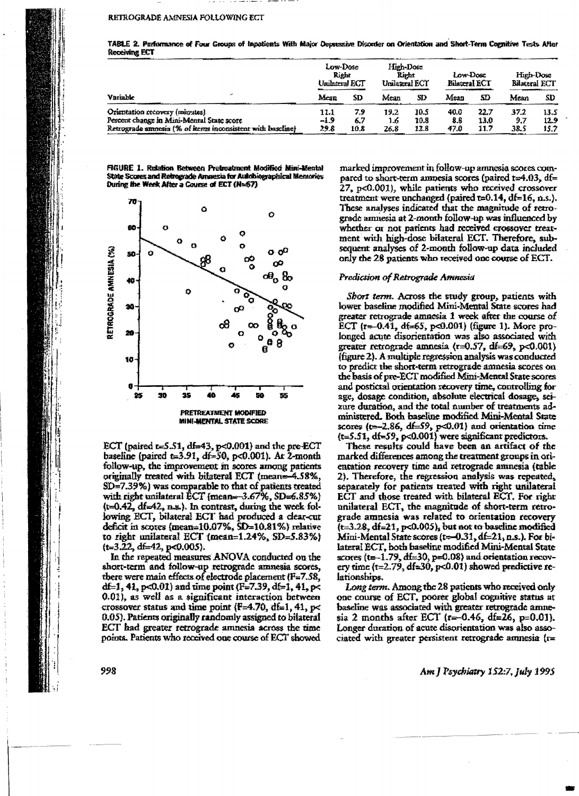#### RETROGRADE AMNESIA FOLLOWING ECT

| A3<br>Variable                                                              | Low-Dose<br>Right<br>Unilateral ECT |            | High-Dose<br>Right<br>Unilateral ECT |              | Low-Dosc<br><b>Edatoral ECT</b> |              | High-Dose<br>Bilateral ECT |              |
|-----------------------------------------------------------------------------|-------------------------------------|------------|--------------------------------------|--------------|---------------------------------|--------------|----------------------------|--------------|
|                                                                             | Mean                                | ŚD         | Mean                                 | SD           | Mean                            | SD           | Mean                       | SD           |
| Orientation recovery (minutes)<br>Percent change in Mini-Mental State score | 11.1<br>$-1.9$                      | 7.9<br>6.7 | 19.2<br>1.6                          | 10.S<br>10.8 | 40.0<br>8.6                     | 22.7<br>13.0 | 37.2<br>9.7                | 13.5<br>12.9 |
| Retrograde amnesia (% of items inconsistent with baseline)                  | 29.B                                | 10.8       | 26.S                                 | 12.8         | 47.0                            | 11.7         | 38.5                       | 15.7         |

TABLE 2. Performance of Four Groups of Inpetients With Major Depressive Disorder on Orientation and Short-Term Cognitive Tests After **Receiving FCT** 

FIGURE 1. Relation Between Pretreatment Modified Mini-Mental State Scores and Retrograde Amnesia for Autobiographical Memories During the Week After a Course of ECT (N=67)



ECT (paired t=5.51, df=43, p<0.001) and the pre-ECT baseline (paired t=3.91, df=50, p<0.001). At 2-month follow-up, the improvement in scores among patients originally treated with bilateral ECT (mean=-4.58%, SD=7.39%) was comparable to that of patients treated with right unilateral ECT (mean= $-3.67\%$ , SD= $6.85\%$ )  $(t=0.42, df=42, n.s.)$ . In contrast, during the week following ECT, bilateral ECT had produced a clear-cut deficit in scores (mean=10.07%, SD=10.81%) relative to right unilateral ECT (mean=1.24%, SD=5.83%)  $(t=3.22, df=42, p<0.005).$ 

In the repeated measures ANOVA conducted on the short-term and follow-up retrograde amnesia scores, there were main effects of electrode placement  $(F = 7.58$ , df=1, 41, p<0.01) and time point (F=7.39, df=1, 41, p< 0.01), as well as a significant interaction between crossover status and time point (F=4.70, df=1, 41,  $p$ < 0.05). Patients originally randomly assigned to bilateral ECT had greater retrograde amnesia across the time points. Patients who received one course of ECT showed marked improvement in follow-up amnesia scores compared to short-term amnesia scores (paired t=4.03, df= 27, p<0.001), while patients who received crossover treatment were unchanged (paired  $t=0.14$ ,  $df=16$ , n.s.). These analyses indicated that the magnitude of retrograde amnesia at 2-month follow-up was influenced by whether or not patients had received crossover treatment with high-dose bilateral ECT. Therefore, subsequent analyses of 2-month follow-up data included only the 28 patients who received one course of ECT.

## Prediction of Retrograde Amnesia

Short term. Across the study group, patients with lower baseline modified Mini-Mental State scores had greater retrograde amnesia 1 week after the course of ECT (r=-0.41, df=65, p<0.001) (figure 1). More prolonged acute disorientation was also associated with greater retrograde amnesia ( $r=0.57$ , df=69,  $p<0.001$ ) (figure 2). A multiple regression analysis was conducted to predict the short-term retrograde annesia scores on the basis of pre-ECT modified Mini-Mental State scores and postictal orientation recovery time, controlling for age, dosage condition, absolute electrical dosage, scizure duration, and the total number of treatments administered. Both baseline modified Mini-Mental State scores ( $t = 2.86$ ,  $df = 59$ ,  $p < 0.01$ ) and orientation time  $(t=5.51, df=59, p<0.001)$  were significant predictors.

These results could have been an artifact of the marked differences among the treatment groups in orientation recovery time and retrograde amnesia (table 2). Therefore, the regression analysis was repeated, separately for patients treated with right unilateral ECT and those treated with bilateral ECT. For right unilateral ECT, the magnitude of short-term retrograde amnesia was related to orientation recovery  $(t=3.28, df=21, p<0.005)$ , but not to baseline modified Mini-Mental State scores  $(t=0.31, d=21, n.s.).$  For bilateral ECT, both baseline modified Mini-Mental State scores ( $t=-1.79$ ,  $dt=30$ ,  $p=0.08$ ) and orientation recovery time  $(t=2.79, df=30, p<0.01)$  showed predictive relationships.

Long term. Among the 28 patients who received only one course of ECT, poorer global cognitive status at baseline was associated with greater retrograde amnesia 2 months after ECT ( $r = 0.46$ , df=26, p=0.01). Longer duration of acute disorientation was also associated with greater persistent retrograde amnesia  $\{r =$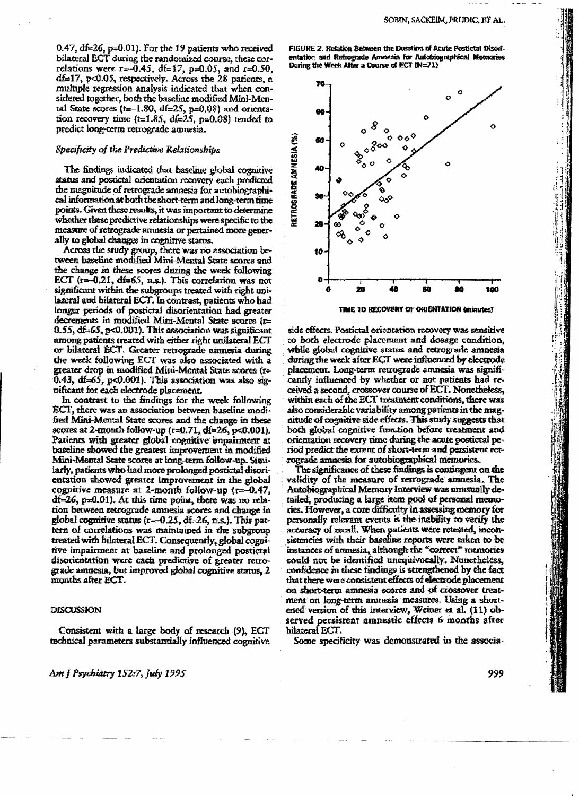0.47,  $df = 26$ ,  $p = 0.01$ ). For the 19 patients who received bilateral ECT during the randomized course, these correlations were  $r = -0.45$ , di=17, p=0.05, and r=0.50,  $df=17$ , p<0.05, respectively. Across the 28 patients, a multiple regression analysis indicated that when considered together, both the baseline modified Mini-Mental State scores ( $t=-1.80$ ,  $df=25$ ,  $p=0.08$ ) and orientation recovery time  $(t=1.85, df=2.5, p=0.08)$  tended to predict long-term retrograde amnesia.

## Specificity of the Predictive Relationships

The findings indicated that baseline global cognitive status and postictal orientation recovery each predicted the magnitude of retrograde amnesia for autobiographical information at both the short-term and long-term time points. Given these results, it was important to determine whether these predictive relationships were specific to the measure of retrograde amnesia or pertained more generally to global changes in cognitive status.

Across the study group, there was no association between baseline modified Mini-Mental State scores and the change in these scores during the week following ECT  $(r = 0.21, df = 65, n.s.)$ . This correlation was not significant within the subgroups treated with right unilateral and bilateral ECT. In contrast, patients who had longer periods of postictal disorientation had greater decrements in modified Mini-Mental State scores (r= 0.55, df=65, p<0.001). This association was significant among patients treated with either right unilateral ECT or bilateral ECT. Greater retrograde amnesia during the week following ECT was also associated with a greater drop in modified Mini-Mental State scores (r=  $0.43$ ,  $dt = 65$ , p<0.001). This association was also significant for each electrode placement.

In contrast to the findings for the week following ECT, there was an association between baseline modified Mini-Mental State scores and the change in these scores at 2-month follow-up  $(r=0.71, df=26, pc0.001)$ . Patients with greater global cognitive impairment at baseline showed the greatest improvement in modified Mini-Mental State scores at long-term follow-up. Similarly, patients who had more prolonged postictal disorientation showed greater improvement in the global cognitive measure at 2-month follow-up ( $r = 0.47$ ,  $df=26$ ,  $p=0.01$ ). At this time point, there was no relation between retrograde amnesia scores and change in global cognitive status  $(r=0.25, df=26, n.s.).$  This pattern of correlations was maintained in the subgroup treated with bilateral ECT. Consequently, global cognitive impairment at baseline and prolonged postictal disorientation were each predictive of greater retrograde amnesia, but improved global cognitive status, 2 months after ECT.

## DISCUSSION

Consistent with a large body of research (9), ECT technical parameters substantially influenced cognitive



TIME TO RECOVERY OF ORIENTATION (minutes)

side effects. Postictal orientation recovery was sensitive to both electrode placement and dosage condition, while global cognitive status and retrograde amnesia during the week after ECT were influenced by electrode placement. Long-term retrograde amnesia was significantly influenced by whether or not patients had received a second, crossover course of ECT. Nonetheless, within each of the ECT treatment conditions, there was also considerable variability among patients in the magnitude of cognitive side effects. This study suggests that both global cognitive function before treatment and orientation recovery time during the acute postictal period predict the extent of short-term and persistent retrograde amnesia for autobiographical memories.

The significance of these findings is contingent on the validity of the measure of retrograde annesia. The Autobiographical Memory Interview was unusually detailed, producing a large item pool of personal memocies. However, a core difficulty in assessing memory for personally relevant events is the inability to verify the accuracy of recall. When patients were retested, inconsistencies with their baseline reports were taken to be instances of animesia, although the "correct" memories could not be identified unequivocally. Nonetheless, confidence in these findings is strengthened by the fact that there were consistent effects of electrode placement on short-term amnesia scores and of crossover treatment on long-term amnesia measures. Using a shortened version of this interview, Weiner et al. (11) observed persistent amnestic effects 6 months after bilateral ECT.

Some specificity was demonstrated in the associa-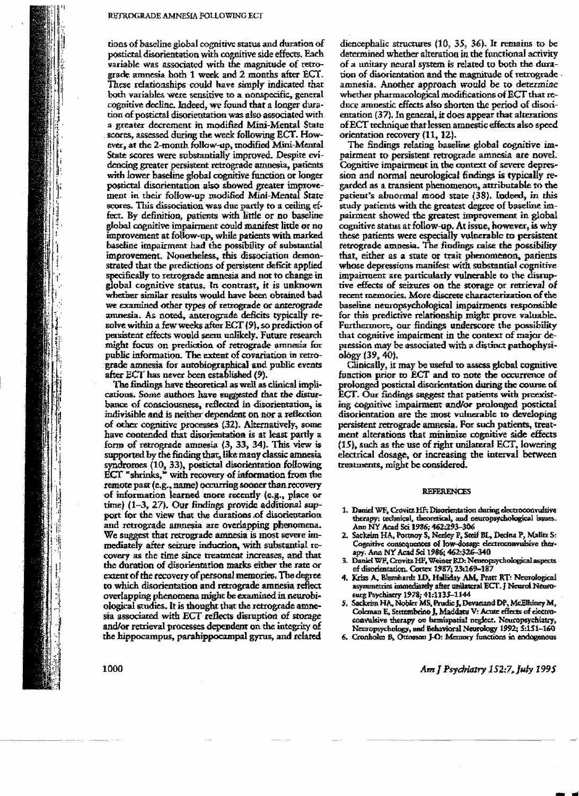tions of baseline global cognitive status and duration of postictal disorientation with cognitive side effects. Each variable was associated with the magnitude of retrograde amnesia both 1 week and 2 months after ECT. These relationships could have simply indicated that both variables were sensitive to a nonspecific, general cognitive decline. Indeed, we found that a longer duration of postictal disorientation was also associated with a greater decrement in modified Mini-Mental State scores, assessed during the week following ECT. However, at the 2-month follow-up, modified Mini-Mental State scores were substantially improved. Despite evidencing greater persistent retrograde amnesia, patients with lower baseline global cognitive function or longer postictal disorientation also showed greater improvement in their follow-up modified Mini-Mental State scores. This dissociation was due partly to a ceiling effect. By definition, patients with little or no baseline global cognitive impairment could manifest little or no improvement at follow-up, while patients with marked baseline impairment had the possibility of substantial improvement. Nonetheless, this dissociation demonstrated that the predictions of persistent deficit applied specifically to retrograde amnesia and not to change in global cognitive status. In contrast, it is unknown whether similar results would have been obtained had we examined other types of retrograde or anterograde amnesia. As noted, anterograde deficits typically resolve within a few weeks after ECT (9), so prediction of persistent effects would seem unlikely. Future research might focus on prediction of retrograde amnesia for public information. The extent of covariation in retrograde amnesia for autobiographical and public events after ECT has never been established (9).

The findings have theoretical as well as clinical implications. Some authors have suggested that the disturbance of consciousness, reflected in disorientation, is indivisible and is neither dependent on nor a reflection of other cognitive processes (32). Alternatively, some have contended that disorientation is at least partly a form of retrograde amnesia  $(3, 33, 34)$ . This view is supported by the finding that, like many classic amnesia syndromes (10, 33), postictal disorientation following ECT "shrinks," with recovery of information from the remote past (e.g., name) occurring sooner than recovery of information learned more recently (e.g., place or time) (1-3, 27). Our findings provide additional support for the view that the durations of disorientation and retrograde amnesia are overlapping phenomena. We suggest that retrograde amnesia is most severe immediately after seizure induction, with substantial recovery as the time since treatment increases, and that the duration of disorientation marks either the rate or extent of the recovery of personal memories. The degree to which disorientation and retrograde amnesia reflect overlapping phenomena might be examined in neurobiological studies. It is thought that the retrograde amnesia associated with ECT reflects disruption of storage and/or retrieval processes dependent on the integrity of the hippocampus, parahippocampal gyrus, and related

diencephalic structures (10, 35, 36). It remains to be determined whether alteration in the functional activity of a unitary neural system is related to both the duration of disorientation and the magnitude of retrograde. amnesia. Another approach would be to determine whether pharmacological modifications of ECT that reduce amnestic effects also shorten the period of disorientation (37). In general, it does appear that alterations of ECT rechnique that lessen amnestic effects also speed orientation recovery (11, 12).

The findings relating baseline global cognitive impairment to persistent retrograde amnesia are novel. Cognitive impairment in the context of severe depression and normal neurological findings is typically regarded as a transient phenomenon, attributable to the patient's abnormal mood state (38). Indeed, in this study patients with the greatest degree of baseline impairment showed the greatest improvement in global cognitive status at follow-up. At issue, however, is why these patients were especially vulnerable to persistent retrograde amnesia. The findings raise the possibility that, either as a state or trait phenomenon, patients whose depressions manifest with substantial cognitive impairment are particularly vulnerable to the disruptive effects of seizures on the storage or retrieval of recent memories. More discrete characterization of the baseline neuropsychological impairments responsible for this predictive relationship might prove valuable. Furthermore, our findings underscore the possibility that cognitive impairment in the context of major depression may be associated with a distinct pathophysiology (39, 40).

Clinically, it may be useful to assess global cognitive function prior to ECT and to note the occurrence of prolonged postictal disorientation during the course of ECT. Our findings suggest that patients with proexisting cognitive impairment and/or prolonged postictal disorientation are the most vulnerable to developing persistent retrograde amnesia. For such patients, treatment alterations that minimize cognitive side effects (15), such as the use of right unilateral ECT, lowering electrical dosage, or increasing the interval between treatments, might be considered.

#### **REFERENCES**

- 1. Daniel WF, Crovitz HF. Disorientation during electroconvulsive therapy; technical, theoretical, and neuropsychological issues. Ann ÑY Acad Sci 1986; 462:293-306
- 2. Sackeim HA, Portnoy S, Neeley P, Steif BL, Decina P, Malitz S: Cognitive consequences of low-dosage electroconvulsive therapy. Ann NY Acad Sci 1986; 462:326-340
- 3. Daniel WF, Crovitz HF, Weiner RD: Neuropsychological aspects of disorientation. Cortex 1987; 23:169-187
- 4. Kriss A, Blumhardt LD, Halliday AM, Pratt RT: Neurological asymmetries immediately after unilateral ECT. J Neurol Neurosurg Psychiatry 1978; 41:1135-1144
- 5. Sackeim HA, Nobler MS, Prudic J, Devanand DP, McElhiney M, Coleman E, Settembrino J, Maddatu V: Acute effects of electroconvulsive therapy on hemispatial neglect. Neuropsychiatry, Neuropsychology, and Behavioral Neurology 1992; 5:151-160
- 6. Cronholm B, Ottosson J-O: Memory functions in endogenous